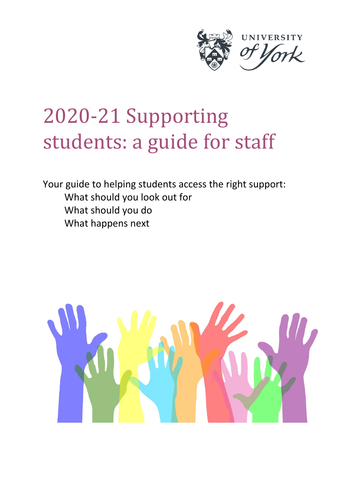

# 2020-21 Supporting students: a guide for staff

Your guide to helping students access the right support: What should you look out for What should you do What happens next

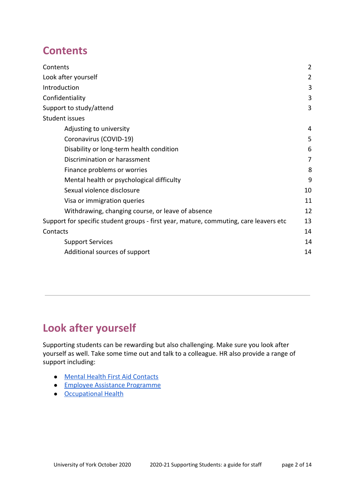### **Contents**

| Contents                                                                              | $\overline{2}$ |
|---------------------------------------------------------------------------------------|----------------|
| Look after yourself                                                                   | 2              |
| Introduction                                                                          | 3              |
| Confidentiality                                                                       | 3              |
| Support to study/attend                                                               | 3              |
| <b>Student issues</b>                                                                 |                |
| Adjusting to university                                                               | 4              |
| Coronavirus (COVID-19)                                                                | 5              |
| Disability or long-term health condition                                              | 6              |
| Discrimination or harassment                                                          | 7              |
| Finance problems or worries                                                           | 8              |
| Mental health or psychological difficulty                                             | 9              |
| Sexual violence disclosure                                                            | 10             |
| Visa or immigration queries                                                           | 11             |
| Withdrawing, changing course, or leave of absence                                     | 12             |
| Support for specific student groups - first year, mature, commuting, care leavers etc | 13             |
| Contacts                                                                              | 14             |
| <b>Support Services</b>                                                               | 14             |
| Additional sources of support                                                         | 14             |

# **Look after yourself**

Supporting students can be rewarding but also challenging. Make sure you look after yourself as well. Take some time out and talk to a colleague. HR also provide a range of support including:

- [Mental Health First Aid Contacts](https://www.york.ac.uk/admin/hr/browse/health-and-well-being/mental-health-first-aid)
- [Employee Assistance Programme](https://www.york.ac.uk/admin/hr/browse/health-and-well-being/employee-assistance)
- [Occupational Health](https://www.york.ac.uk/admin/hr/browse/health-and-well-being/occupational-health)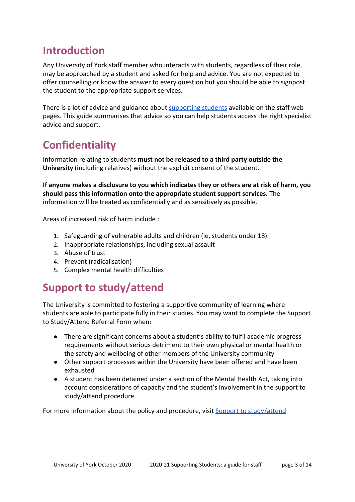# **Introduction**

Any University of York staff member who interacts with students, regardless of their role, may be approached by a student and asked for help and advice. You are not expected to offer counselling or know the answer to every question but you should be able to signpost the student to the appropriate support services.

There is a lot of advice and guidance about [supporting students](https://www.york.ac.uk/staff/supporting-students/) available on the staff web pages. This guide summarises that advice so you can help students access the right specialist advice and support.

# **Confidentiality**

Information relating to students **must not be released to a third party outside the University** (including relatives) without the explicit consent of the student.

**If anyone makes a disclosure to you which indicates they or others are at risk of harm, you should pass this information onto the appropriate student support services.** The information will be treated as confidentially and as sensitively as possible.

Areas of increased risk of harm include :

- 1. Safeguarding of vulnerable adults and children (ie, students under 18)
- 2. Inappropriate relationships, including sexual assault
- 3. Abuse of trust
- 4. Prevent (radicalisation)
- 5. Complex mental health difficulties

# **Support to study/attend**

The University is committed to fostering a supportive community of learning where students are able to participate fully in their studies. You may want to complete the Support to Study/Attend Referral Form when:

- There are significant concerns about a student's ability to fulfil academic progress requirements without serious detriment to their own physical or mental health or the safety and wellbeing of other members of the University community
- Other support processes within the University have been offered and have been exhausted
- A student has been detained under a section of the Mental Health Act, taking into account considerations of capacity and the student's involvement in the support to study/attend procedure.

For more information about the policy and procedure, visit **[Support to study/attend](https://www.york.ac.uk/staff/supporting-students/academic/taught/fitness-to-study/)**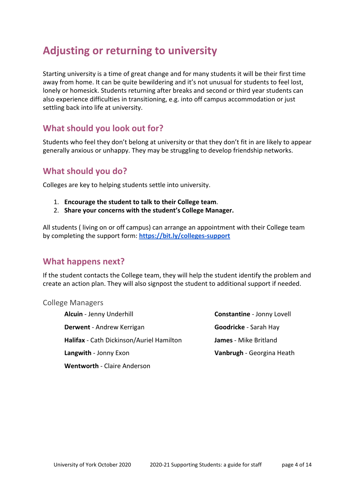### **Adjusting or returning to university**

Starting university is a time of great change and for many students it will be their first time away from home. It can be quite bewildering and it's not unusual for students to feel lost, lonely or homesick. Students returning after breaks and second or third year students can also experience difficulties in transitioning, e.g. into off campus accommodation or just settling back into life at university.

### **What should you look out for?**

Students who feel they don't belong at university or that they don't fit in are likely to appear generally anxious or unhappy. They may be struggling to develop friendship networks.

### **What should you do?**

Colleges are key to helping students settle into university.

- 1. **Encourage the student to talk to their College team**.
- 2. **Share your concerns with the student's College Manager.**

All students ( living on or off campus) can arrange an appointment with their College team by completing the support form: **<https://bit.ly/colleges-support>**

#### **What happens next?**

If the student contacts the College team, they will help the student identify the problem and create an action plan. They will also signpost the student to additional support if needed.

College Managers

**Alcuin** - Jenny Underhill **Constantine** - Jonny Lovell **Derwent** - Andrew Kerrigan **Goodricke** - Sarah Hay **Halifax** - Cath Dickinson/Auriel Hamilton **James** - Mike Britland **Langwith - Jonny Exon Vanbrugh - Georgina Heath Wentworth** - Claire Anderson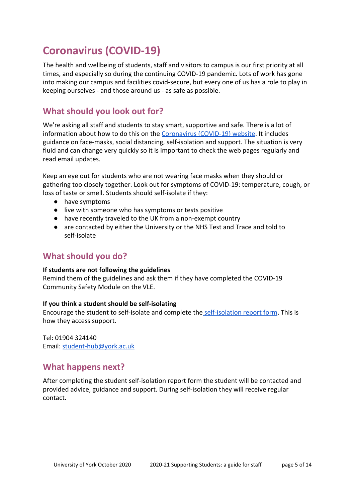# **Coronavirus (COVID-19)**

The health and wellbeing of students, staff and visitors to campus is our first priority at all times, and especially so during the continuing COVID-19 pandemic. Lots of work has gone into making our campus and facilities covid-secure, but every one of us has a role to play in keeping ourselves - and those around us - as safe as possible.

### **What should you look out for?**

We're asking all staff and students to stay smart, supportive and safe. There is a lot of information about how to do this on the [Coronavirus \(COVID-19\) website.](https://coronavirus.york.ac.uk/home) It includes guidance on face-masks, social distancing, self-isolation and support. The situation is very fluid and can change very quickly so it is important to check the web pages regularly and read email updates.

Keep an eye out for students who are not wearing face masks when they should or gathering too closely together. Look out for symptoms of COVID-19: temperature, cough, or loss of taste or smell. Students should self-isolate if they:

- have symptoms
- live with someone who has symptoms or tests positive
- have recently traveled to the UK from a non-exempt country
- are contacted by either the University or the NHS Test and Trace and told to self-isolate

### **What should you do?**

#### **If students are not following the guidelines**

Remind them of the guidelines and ask them if they have completed the COVID-19 Community Safety Module on the VLE.

#### **If you think a student should be self-isolating**

Encourage the student to self-isolate and complete the [self-isolation report form](https://docs.google.com/forms/d/e/1FAIpQLSfbcJembOVkpLC27zw9vxqn_pRYZbnIJWsFgXWjNSvabOAOoQ/viewform). This is how they access support.

Tel: 01904 324140 Email: [student-hub@york.ac.uk](mailto:student-hub@york.ac.uk)

#### **What happens next?**

After completing the student self-isolation report form the student will be contacted and provided advice, guidance and support. During self-isolation they will receive regular contact.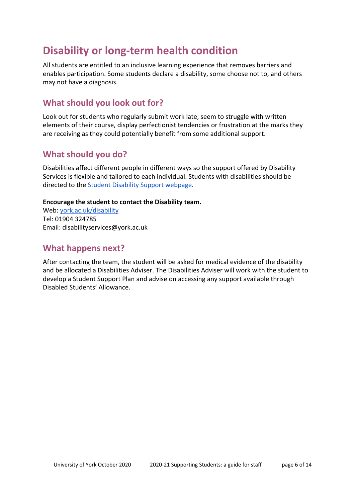### **Disability or long-term health condition**

All students are entitled to an inclusive learning experience that removes barriers and enables participation. Some students declare a disability, some choose not to, and others may not have a diagnosis.

### **What should you look out for?**

Look out for students who regularly submit work late, seem to struggle with written elements of their course, display perfectionist tendencies or frustration at the marks they are receiving as they could potentially benefit from some additional support.

#### **What should you do?**

Disabilities affect different people in different ways so the support offered by Disability Services is flexible and tailored to each individual. Students with disabilities should be directed to the **Student Disability Support webpage**.

#### **Encourage the student to contact the Disability team.**

Web: [york.ac.uk/disability](https://www.york.ac.uk/students/support/disability/) Tel: 01904 324785 Email: disabilityservices@york.ac.uk

### **What happens next?**

After contacting the team, the student will be asked for medical evidence of the disability and be allocated a Disabilities Adviser. The Disabilities Adviser will work with the student to develop a Student Support Plan and advise on accessing any support available through Disabled Students' Allowance.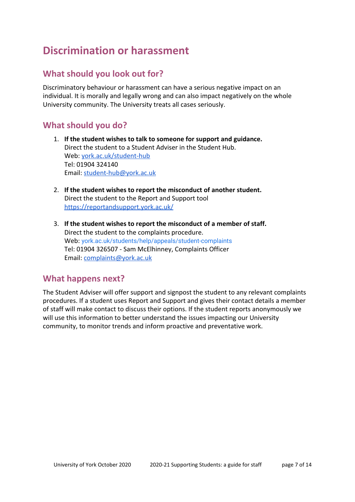# <span id="page-6-0"></span>**Discrimination or harassment**

### **What should you look out for?**

Discriminatory behaviour or harassment can have a serious negative impact on an individual. It is morally and legally wrong and can also impact negatively on the whole University community. The University treats all cases seriously.

### **What should you do?**

- 1. **If the student wishes to talk to someone for support and guidance.** Direct the student to a Student Adviser in the Student Hub. Web: [york.ac.uk/student-hub](https://www.york.ac.uk/students/support/student-hub/) Tel: 01904 324140 Email: [student-hub@york.ac.uk](mailto:student-hub@york.ac.uk)
- 2. **If the student wishes to report the misconduct of another student.** Direct the student to the Report and Support tool <https://reportandsupport.york.ac.uk/>
- 3. **If the student wishes to report the misconduct of a member of staff.** Direct the student to the complaints procedure. Web: [york.ac.uk/students/help/appeals/student-complaints](https://www.york.ac.uk/students/help/appeals/student-complaints) Tel: 01904 326507 - Sam McElhinney, Complaints Officer Email: [complaints@york.ac.uk](mailto:complaints@york.ac.uk)

#### **What happens next?**

The Student Adviser will offer support and signpost the student to any relevant complaints procedures. If a student uses Report and Support and gives their contact details a member of staff will make contact to discuss their options. If the student reports anonymously we will use this information to better understand the issues impacting our University community, to monitor trends and inform proactive and preventative work.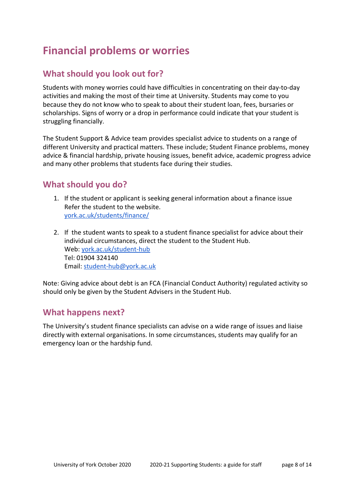# **Financial problems or worries**

### **What should you look out for?**

Students with money worries could have difficulties in concentrating on their day-to-day activities and making the most of their time at University. Students may come to you because they do not know who to speak to about their student loan, fees, bursaries or scholarships. Signs of worry or a drop in performance could indicate that your student is struggling financially.

The Student Support & Advice team provides specialist advice to students on a range of different University and practical matters. These include; Student Finance problems, money advice & financial hardship, private housing issues, benefit advice, academic progress advice and many other problems that students face during their studies.

### **What should you do?**

- 1. If the student or applicant is seeking general information about a finance issue Refer the student to the website. [york.ac.uk/students/finance/](https://www.york.ac.uk/students/finance/)
- 2. If the student wants to speak to a student finance specialist for advice about their individual circumstances, direct the student to the Student Hub. Web: [york.ac.uk/student-hub](https://www.york.ac.uk/students/support/student-hub/) Tel: 01904 324140 Email: [student-hub@york.ac.uk](mailto:student-hub@york.ac.uk)

Note: Giving advice about debt is an FCA (Financial Conduct Authority) regulated activity so should only be given by the Student Advisers in the Student Hub.

#### **What happens next?**

The University's student finance specialists can advise on a wide range of issues and liaise directly with external organisations. In some circumstances, students may qualify for an emergency loan or the hardship fund.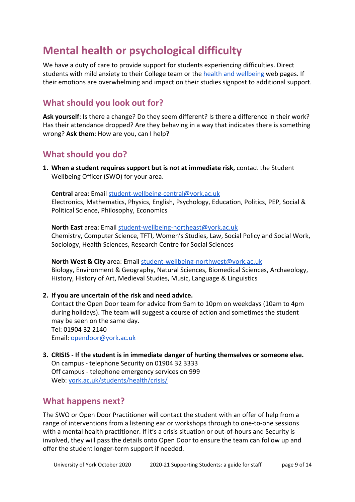# **Mental health or psychological difficulty**

We have a duty of care to provide support for students experiencing difficulties. Direct students with mild anxiety to their College team or the [health and wellbeing](https://www.york.ac.uk/students/health/) web pages. If their emotions are overwhelming and impact on their studies signpost to additional support.

### **What should you look out for?**

**Ask yourself**: Is there a change? Do they seem different? Is there a difference in their work? Has their attendance dropped? Are they behaving in a way that indicates there is something wrong? **Ask them**: How are you, can I help?

### **What should you do?**

**1. When a student requires support but is not at immediate risk,** contact the Student Wellbeing Officer (SWO) for your area.

**Central** area: Email student-wellbeing-central@york.ac.uk Electronics, Mathematics, Physics, English, Psychology, Education, Politics, PEP, Social & Political Science, Philosophy, Economics

**North East** area: Email [student-wellbeing-northeast@york.ac.uk](mailto:student-wellbeing-northeast@york.ac.uk) Chemistry, Computer Science, TFTI, Women's Studies, Law, Social Policy and Social Work, Sociology, Health Sciences, Research Centre for Social Sciences

**North West & City** area: Email [student-wellbeing-northwest@york.ac.uk](mailto:student-wellbeing-northwest@york.ac.uk) Biology, Environment & Geography, Natural Sciences, Biomedical Sciences, Archaeology, History, History of Art, Medieval Studies, Music, Language & Linguistics

**2. If you are uncertain of the risk and need advice.**

Contact the Open Door team for advice from 9am to 10pm on weekdays (10am to 4pm during holidays). The team will suggest a course of action and sometimes the student may be seen on the same day. Tel: 01904 32 2140 Email: [opendoor@york.ac.uk](mailto:opendoor@york.ac.uk)

**3. CRISIS - If the student is in immediate danger of hurting themselves or someone else.** On campus - telephone Security on 01904 32 3333 Off campus - telephone emergency services on 999 Web: [york.ac.uk/students/health/crisis/](https://www.york.ac.uk/students/health/crisis/)

#### **What happens next?**

The SWO or Open Door Practitioner will contact the student with an offer of help from a range of interventions from a listening ear or workshops through to one-to-one sessions with a mental health practitioner. If it's a crisis situation or out-of-hours and Security is involved, they will pass the details onto Open Door to ensure the team can follow up and offer the student longer-term support if needed.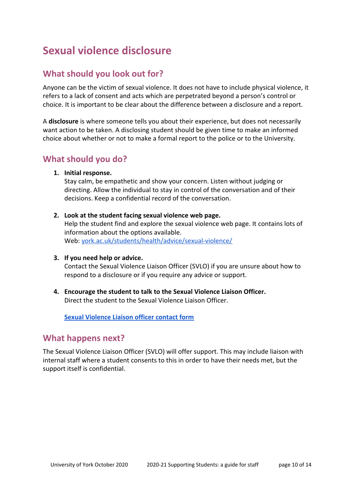# **Sexual violence disclosure**

### **What should you look out for?**

Anyone can be the victim of sexual violence. It does not have to include physical violence, it refers to a lack of consent and acts which are perpetrated beyond a person's control or choice. It is important to be clear about the difference between a disclosure and a report.

A **disclosure** is where someone tells you about their experience, but does not necessarily want action to be taken. A disclosing student should be given time to make an informed choice about whether or not to make a formal report to the police or to the University.

#### **What should you do?**

**1. Initial response.**

Stay calm, be empathetic and show your concern. Listen without judging or directing. Allow the individual to stay in control of the conversation and of their decisions. Keep a confidential record of the conversation.

**2. Look at the student facing sexual violence web page.**

Help the student find and explore the sexual violence web page. It contains lots of information about the options available. Web: [york.ac.uk/students/health/advice/sexual-violence/](https://www.york.ac.uk/students/health/advice/sexual-violence/)

**3. If you need help or advice.**

Contact the Sexual Violence Liaison Officer (SVLO) if you are unsure about how to respond to a disclosure or if you require any advice or support.

**4. Encourage the student to talk to the Sexual Violence Liaison Officer.** Direct the student to the Sexual Violence Liaison Officer.

**[Sexual Violence Liaison officer contact form](https://docs.google.com/forms/d/1mWM7VUuT_AjipgzIzEEnPzopMzAUUWboTmXhlzeW_Dw/viewform?edit_requested=true)**

#### **What happens next?**

The Sexual Violence Liaison Officer (SVLO) will offer support. This may include liaison with internal staff where a student consents to this in order to have their needs met, but the support itself is confidential.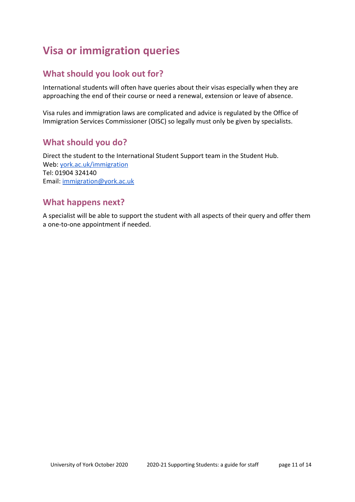# **Visa or immigration queries**

### **What should you look out for?**

International students will often have queries about their visas especially when they are approaching the end of their course or need a renewal, extension or leave of absence.

Visa rules and immigration laws are complicated and advice is regulated by the Office of Immigration Services Commissioner (OISC) so legally must only be given by specialists.

### **What should you do?**

Direct the student to the International Student Support team in the Student Hub. Web: [york.ac.uk/immigration](https://www.york.ac.uk/students/support/international/immigration/) Tel: 01904 324140 Email: [immigration@york.ac.uk](mailto:immigration@york.ac.uk)

### **What happens next?**

A specialist will be able to support the student with all aspects of their query and offer them a one-to-one appointment if needed.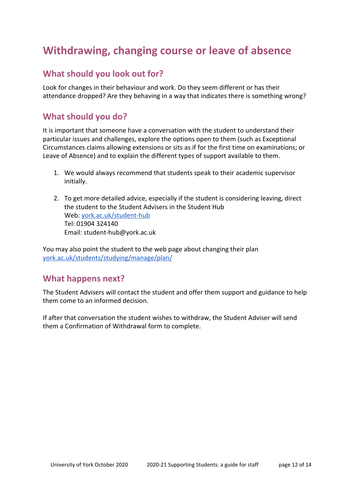# **Withdrawing, changing course or leave of absence**

### **What should you look out for?**

Look for changes in their behaviour and work. Do they seem different or has their attendance dropped? Are they behaving in a way that indicates there is something wrong?

### **What should you do?**

It is important that someone have a conversation with the student to understand their particular issues and challenges, explore the options open to them (such as Exceptional Circumstances claims allowing extensions or sits as if for the first time on examinations; or Leave of Absence) and to explain the different types of support available to them.

- 1. We would always recommend that students speak to their academic supervisor initially.
- 2. To get more detailed advice, especially if the student is considering leaving, direct the student to the Student Advisers in the Student Hub Web: [york.ac.uk/student-hub](https://www.york.ac.uk/students/support/student-hub/) Tel: 01904 324140 Email: student-hub@york.ac.uk

You may also point the student to the web page about changing their plan [york.ac.uk/students/studying/manage/plan/](https://www.york.ac.uk/students/studying/manage/plan/)

#### **What happens next?**

The Student Advisers will contact the student and offer them support and guidance to help them come to an informed decision.

If after that conversation the student wishes to withdraw, the Student Adviser will send them a Confirmation of Withdrawal form to complete.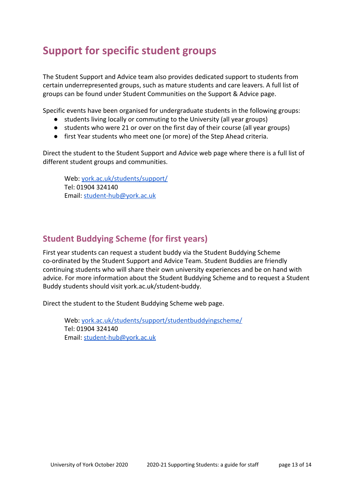# **Support for specific student groups**

The Student Support and Advice team also provides dedicated support to students from certain underrepresented groups, such as mature students and care leavers. A full list of groups can be found under Student Communities on the Support & Advice page.

Specific events have been organised for undergraduate students in the following groups:

- students living locally or commuting to the University (all year groups)
- students who were 21 or over on the first day of their course (all year groups)
- first Year students who meet one (or more) of the Step Ahead criteria.

Direct the student to the Student Support and Advice web page where there is a full list of different student groups and communities.

Web: [york.ac.uk/students/support/](https://www.york.ac.uk/students/support/) Tel: 01904 324140 Email: [student-hub@york.ac.uk](mailto:student-hub@york.ac.uk)

### **Student Buddying Scheme (for first years)**

First year students can request a student buddy via the Student Buddying Scheme co-ordinated by the Student Support and Advice Team. Student Buddies are friendly continuing students who will share their own university experiences and be on hand with advice. For more information about the Student Buddying Scheme and to request a Student Buddy students should visit york.ac.uk/student-buddy.

Direct the student to the Student Buddying Scheme web page.

Web: [york.ac.uk/students/support/studentbuddyingscheme/](https://www.york.ac.uk/students/support/studentbuddyingscheme/) Tel: 01904 324140 Email: [student-hub@york.ac.uk](mailto:student-hub@york.ac.uk)